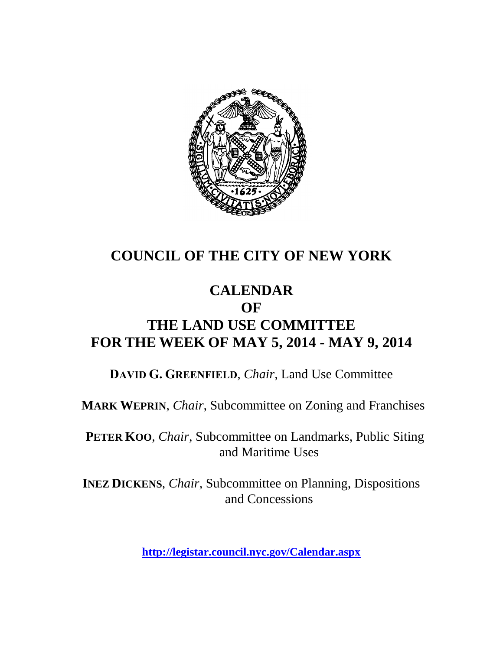

# **COUNCIL OF THE CITY OF NEW YORK**

# **CALENDAR OF THE LAND USE COMMITTEE FOR THE WEEK OF MAY 5, 2014 - MAY 9, 2014**

**DAVID G. GREENFIELD**, *Chair*, Land Use Committee

**MARK WEPRIN**, *Chair*, Subcommittee on Zoning and Franchises

**PETER KOO**, *Chair*, Subcommittee on Landmarks, Public Siting and Maritime Uses

**INEZ DICKENS**, *Chair,* Subcommittee on Planning, Dispositions and Concessions

**<http://legistar.council.nyc.gov/Calendar.aspx>**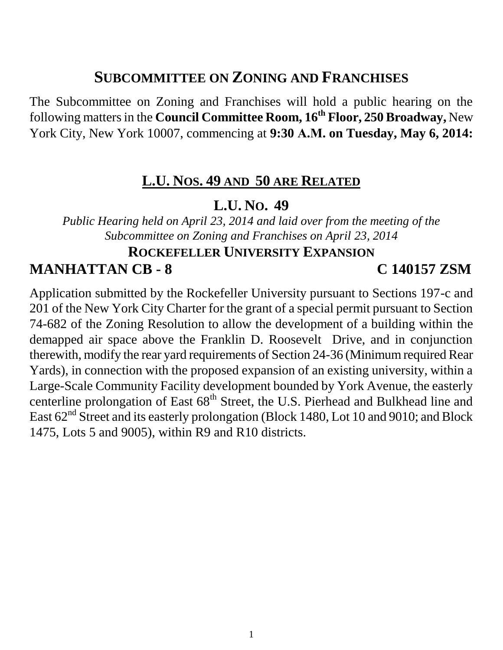# **SUBCOMMITTEE ON ZONING AND FRANCHISES**

The Subcommittee on Zoning and Franchises will hold a public hearing on the following matters in the **Council Committee Room, 16th Floor, 250 Broadway,** New York City, New York 10007, commencing at **9:30 A.M. on Tuesday, May 6, 2014:**

### **L.U. NOS. 49 AND 50 ARE RELATED**

### **L.U. NO. 49**

*Public Hearing held on April 23, 2014 and laid over from the meeting of the Subcommittee on Zoning and Franchises on April 23, 2014*

# **ROCKEFELLER UNIVERSITY EXPANSION**

### **MANHATTAN CB - 8 C 140157 ZSM**

Application submitted by the Rockefeller University pursuant to Sections 197-c and 201 of the New York City Charter for the grant of a special permit pursuant to Section 74-682 of the Zoning Resolution to allow the development of a building within the demapped air space above the Franklin D. Roosevelt Drive, and in conjunction therewith, modify the rear yard requirements of Section 24-36 (Minimum required Rear Yards), in connection with the proposed expansion of an existing university, within a Large-Scale Community Facility development bounded by York Avenue, the easterly centerline prolongation of East 68<sup>th</sup> Street, the U.S. Pierhead and Bulkhead line and East  $62<sup>nd</sup>$  Street and its easterly prolongation (Block 1480, Lot 10 and 9010; and Block 1475, Lots 5 and 9005), within R9 and R10 districts.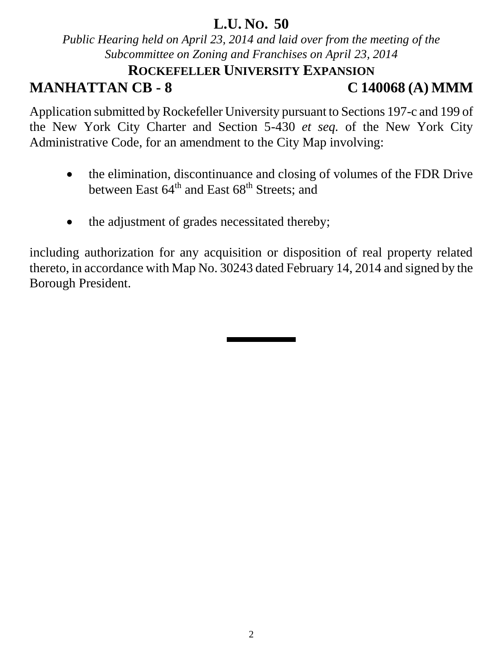## **L.U. NO. 50**

*Public Hearing held on April 23, 2014 and laid over from the meeting of the Subcommittee on Zoning and Franchises on April 23, 2014*

# **ROCKEFELLER UNIVERSITY EXPANSION**

# **MANHATTAN CB - 8 C 140068 (A) MMM**

Application submitted by Rockefeller University pursuant to Sections 197-c and 199 of the New York City Charter and Section 5-430 *et seq.* of the New York City Administrative Code, for an amendment to the City Map involving:

- the elimination, discontinuance and closing of volumes of the FDR Drive between East  $64<sup>th</sup>$  and East  $68<sup>th</sup>$  Streets; and
- the adjustment of grades necessitated thereby;

including authorization for any acquisition or disposition of real property related thereto, in accordance with Map No. 30243 dated February 14, 2014 and signed by the Borough President.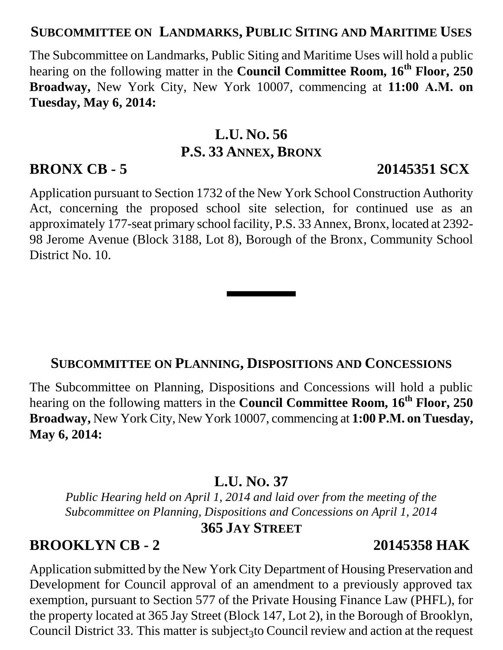### **SUBCOMMITTEE ON LANDMARKS, PUBLIC SITING AND MARITIME USES**

The Subcommittee on Landmarks, Public Siting and Maritime Uses will hold a public hearing on the following matter in the **Council Committee Room, 16th Floor, 250 Broadway,** New York City, New York 10007, commencing at **11:00 A.M. on Tuesday, May 6, 2014:**

# **L.U. NO. 56 P.S. 33 ANNEX, BRONX**

Application pursuant to Section 1732 of the New York School Construction Authority Act, concerning the proposed school site selection, for continued use as an approximately 177-seat primary school facility, P.S. 33 Annex, Bronx, located at 2392- 98 Jerome Avenue (Block 3188, Lot 8), Borough of the Bronx, Community School District No. 10.

#### **SUBCOMMITTEE ON PLANNING, DISPOSITIONS AND CONCESSIONS**

The Subcommittee on Planning, Dispositions and Concessions will hold a public hearing on the following matters in the **Council Committee Room, 16th Floor, 250 Broadway,** New York City, New York 10007, commencing at **1:00 P.M. on Tuesday, May 6, 2014:**

### **L.U. NO. 37**

*Public Hearing held on April 1, 2014 and laid over from the meeting of the Subcommittee on Planning, Dispositions and Concessions on April 1, 2014*

### **365 JAY STREET**

#### **BROOKLYN CB - 2 20145358 HAK**

Council District 33. This matter is subject<sub>3</sub> to Council review and action at the request Application submitted by the New York City Department of Housing Preservation and Development for Council approval of an amendment to a previously approved tax exemption, pursuant to Section 577 of the Private Housing Finance Law (PHFL), for the property located at 365 Jay Street (Block 147, Lot 2), in the Borough of Brooklyn,

## **BRONX CB - 5 20145351 SCX**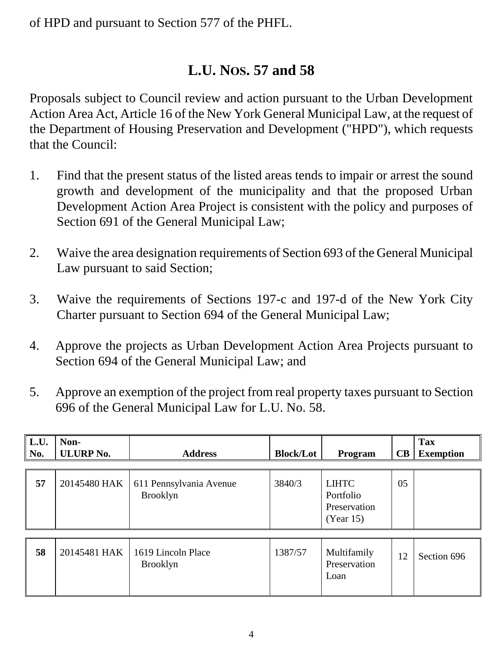of HPD and pursuant to Section 577 of the PHFL.

# **L.U. NOS. 57 and 58**

Proposals subject to Council review and action pursuant to the Urban Development Action Area Act, Article 16 of the New York General Municipal Law, at the request of the Department of Housing Preservation and Development ("HPD"), which requests that the Council:

- 1. Find that the present status of the listed areas tends to impair or arrest the sound growth and development of the municipality and that the proposed Urban Development Action Area Project is consistent with the policy and purposes of Section 691 of the General Municipal Law;
- 2. Waive the area designation requirements of Section 693 of the General Municipal Law pursuant to said Section;
- 3. Waive the requirements of Sections 197-c and 197-d of the New York City Charter pursuant to Section 694 of the General Municipal Law;
- 4. Approve the projects as Urban Development Action Area Projects pursuant to Section 694 of the General Municipal Law; and
- 5. Approve an exemption of the project from real property taxes pursuant to Section 696 of the General Municipal Law for L.U. No. 58.

| L.U.<br>No. | Non-<br><b>ULURP No.</b> | <b>Address</b>                             | <b>Block/Lot</b> | Program                                                | CB | <b>Tax</b><br><b>Exemption</b> |
|-------------|--------------------------|--------------------------------------------|------------------|--------------------------------------------------------|----|--------------------------------|
| 57          | 20145480 HAK             | 611 Pennsylvania Avenue<br><b>Brooklyn</b> | 3840/3           | <b>LIHTC</b><br>Portfolio<br>Preservation<br>(Year 15) | 05 |                                |
| 58          | 20145481 HAK             | 1619 Lincoln Place<br><b>Brooklyn</b>      | 1387/57          | Multifamily<br>Preservation<br>Loan                    | 12 | Section 696                    |